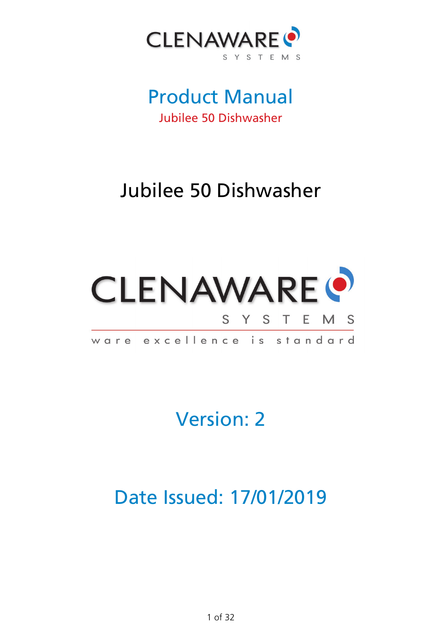

# Product Manual Jubilee 50 Dishwasher

# Jubilee 50 Dishwasher



Version: 2

Date Issued: 17/01/2019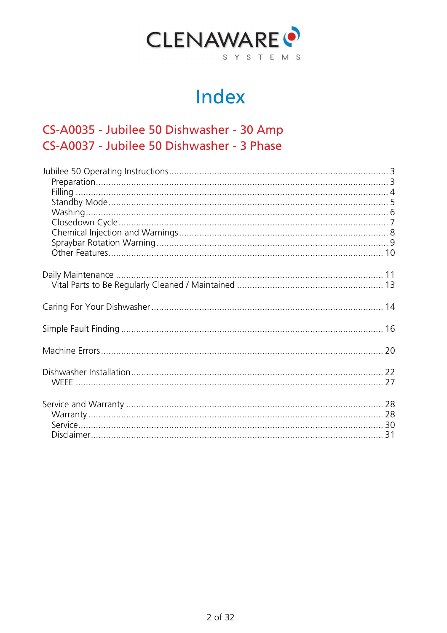

# Index

# CS-A0035 - Jubilee 50 Dishwasher - 30 Amp CS-A0037 - Jubilee 50 Dishwasher - 3 Phase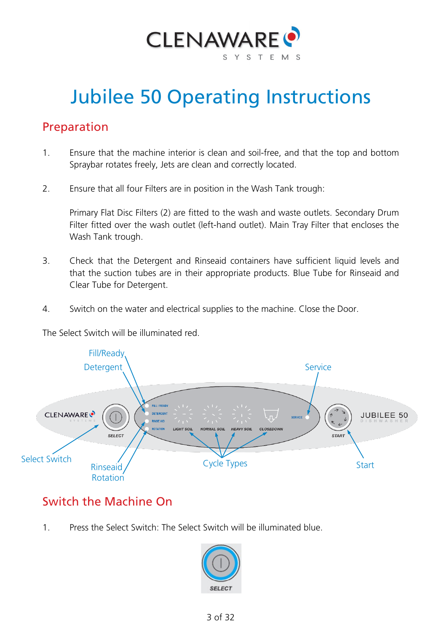

# <span id="page-2-0"></span>Jubilee 50 Operating Instructions

### <span id="page-2-1"></span>Preparation

- 1. Ensure that the machine interior is clean and soil-free, and that the top and bottom Spraybar rotates freely, Jets are clean and correctly located.
- 2. Ensure that all four Filters are in position in the Wash Tank trough:

Primary Flat Disc Filters (2) are fitted to the wash and waste outlets. Secondary Drum Filter fitted over the wash outlet (left-hand outlet). Main Tray Filter that encloses the Wash Tank trough.

- 3. Check that the Detergent and Rinseaid containers have sufficient liquid levels and that the suction tubes are in their appropriate products. Blue Tube for Rinseaid and Clear Tube for Detergent.
- 4. Switch on the water and electrical supplies to the machine. Close the Door.

The Select Switch will be illuminated red.



# Switch the Machine On

1. Press the Select Switch: The Select Switch will be illuminated blue.

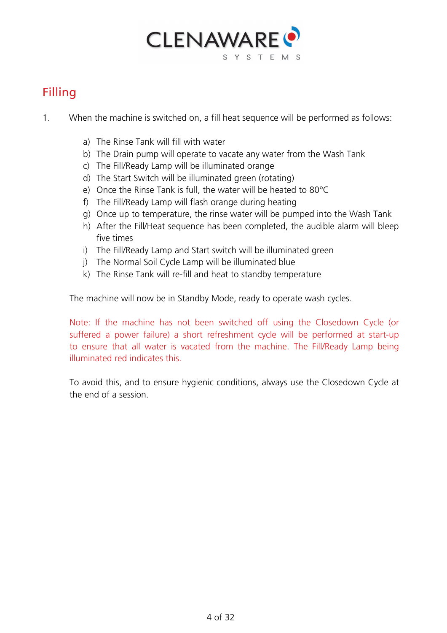

# <span id="page-3-0"></span>Filling

- 1. When the machine is switched on, a fill heat sequence will be performed as follows:
	- a) The Rinse Tank will fill with water
	- b) The Drain pump will operate to vacate any water from the Wash Tank
	- c) The Fill/Ready Lamp will be illuminated orange
	- d) The Start Switch will be illuminated green (rotating)
	- e) Once the Rinse Tank is full, the water will be heated to 80°C
	- f) The Fill/Ready Lamp will flash orange during heating
	- g) Once up to temperature, the rinse water will be pumped into the Wash Tank
	- h) After the Fill/Heat sequence has been completed, the audible alarm will bleep five times
	- i) The Fill/Ready Lamp and Start switch will be illuminated green
	- j) The Normal Soil Cycle Lamp will be illuminated blue
	- k) The Rinse Tank will re-fill and heat to standby temperature

The machine will now be in Standby Mode, ready to operate wash cycles.

Note: If the machine has not been switched off using the Closedown Cycle (or suffered a power failure) a short refreshment cycle will be performed at start-up to ensure that all water is vacated from the machine. The Fill/Ready Lamp being illuminated red indicates this.

To avoid this, and to ensure hygienic conditions, always use the Closedown Cycle at the end of a session.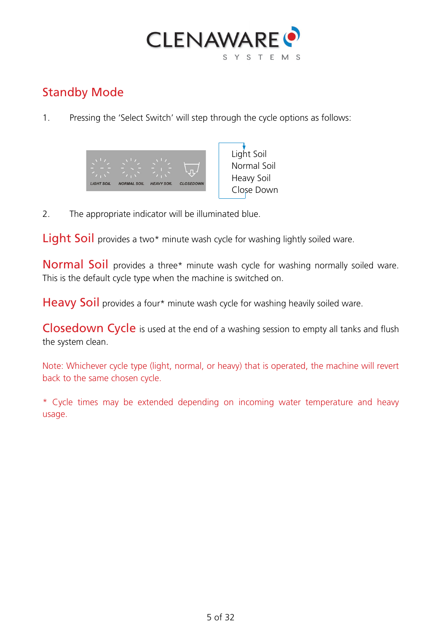

# <span id="page-4-0"></span>Standby Mode

1. Pressing the 'Select Switch' will step through the cycle options as follows:



Light Soil Normal Soil Heavy Soil Close Down

2. The appropriate indicator will be illuminated blue.

Light Soil provides a two\* minute wash cycle for washing lightly soiled ware.

Normal Soil provides a three\* minute wash cycle for washing normally soiled ware. This is the default cycle type when the machine is switched on.

Heavy Soil provides a four\* minute wash cycle for washing heavily soiled ware.

Closedown Cycle is used at the end of a washing session to empty all tanks and flush the system clean.

Note: Whichever cycle type (light, normal, or heavy) that is operated, the machine will revert back to the same chosen cycle.

\* Cycle times may be extended depending on incoming water temperature and heavy usage.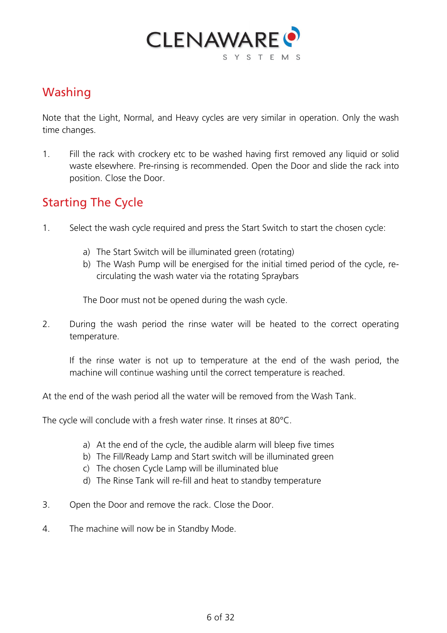

# <span id="page-5-0"></span>Washing

Note that the Light, Normal, and Heavy cycles are very similar in operation. Only the wash time changes.

1. Fill the rack with crockery etc to be washed having first removed any liquid or solid waste elsewhere. Pre-rinsing is recommended. Open the Door and slide the rack into position. Close the Door.

### Starting The Cycle

- 1. Select the wash cycle required and press the Start Switch to start the chosen cycle:
	- a) The Start Switch will be illuminated green (rotating)
	- b) The Wash Pump will be energised for the initial timed period of the cycle, recirculating the wash water via the rotating Spraybars

The Door must not be opened during the wash cycle.

2. During the wash period the rinse water will be heated to the correct operating temperature.

If the rinse water is not up to temperature at the end of the wash period, the machine will continue washing until the correct temperature is reached.

At the end of the wash period all the water will be removed from the Wash Tank.

The cycle will conclude with a fresh water rinse. It rinses at 80°C.

- a) At the end of the cycle, the audible alarm will bleep five times
- b) The Fill/Ready Lamp and Start switch will be illuminated green
- c) The chosen Cycle Lamp will be illuminated blue
- d) The Rinse Tank will re-fill and heat to standby temperature
- 3. Open the Door and remove the rack. Close the Door.
- 4. The machine will now be in Standby Mode.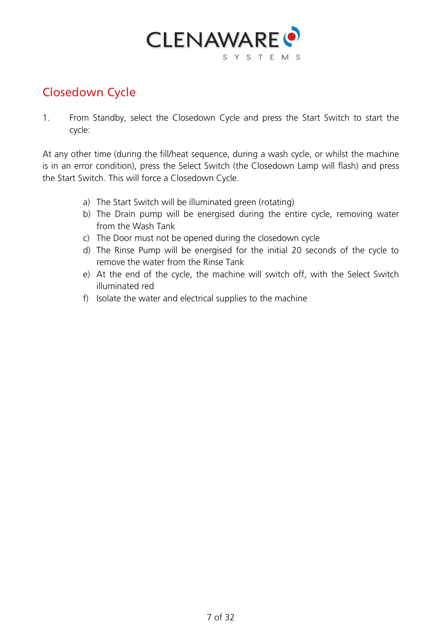

# <span id="page-6-0"></span>Closedown Cycle

1. From Standby, select the Closedown Cycle and press the Start Switch to start the cycle:

At any other time (during the fill/heat sequence, during a wash cycle, or whilst the machine is in an error condition), press the Select Switch (the Closedown Lamp will flash) and press the Start Switch. This will force a Closedown Cycle.

- a) The Start Switch will be illuminated green (rotating)
- b) The Drain pump will be energised during the entire cycle, removing water from the Wash Tank
- c) The Door must not be opened during the closedown cycle
- d) The Rinse Pump will be energised for the initial 20 seconds of the cycle to remove the water from the Rinse Tank
- e) At the end of the cycle, the machine will switch off, with the Select Switch illuminated red
- f) Isolate the water and electrical supplies to the machine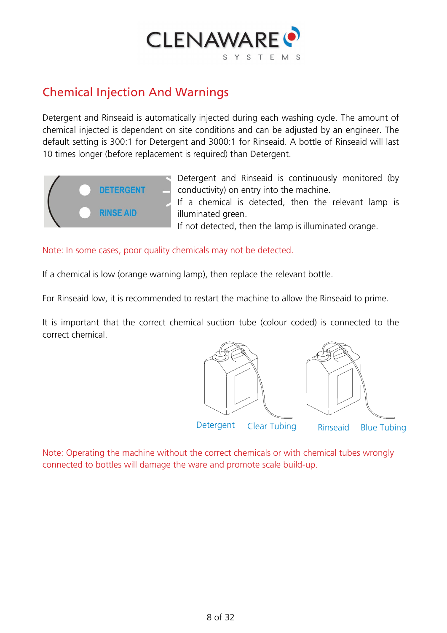

#### <span id="page-7-0"></span>Chemical Injection And Warnings

Detergent and Rinseaid is automatically injected during each washing cycle. The amount of chemical injected is dependent on site conditions and can be adjusted by an engineer. The default setting is 300:1 for Detergent and 3000:1 for Rinseaid. A bottle of Rinseaid will last 10 times longer (before replacement is required) than Detergent.



Detergent and Rinseaid is continuously monitored (by conductivity) on entry into the machine. If a chemical is detected, then the relevant lamp is

illuminated green.

If not detected, then the lamp is illuminated orange.

Note: In some cases, poor quality chemicals may not be detected.

If a chemical is low (orange warning lamp), then replace the relevant bottle.

For Rinseaid low, it is recommended to restart the machine to allow the Rinseaid to prime.

It is important that the correct chemical suction tube (colour coded) is connected to the correct chemical.



Note: Operating the machine without the correct chemicals or with chemical tubes wrongly connected to bottles will damage the ware and promote scale build-up.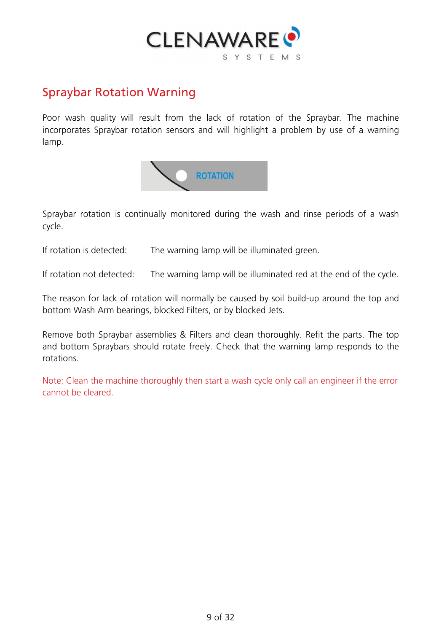

#### <span id="page-8-0"></span>Spraybar Rotation Warning

Poor wash quality will result from the lack of rotation of the Spraybar. The machine incorporates Spraybar rotation sensors and will highlight a problem by use of a warning lamp.



Spraybar rotation is continually monitored during the wash and rinse periods of a wash cycle.

If rotation is detected: The warning lamp will be illuminated green.

If rotation not detected: The warning lamp will be illuminated red at the end of the cycle.

The reason for lack of rotation will normally be caused by soil build-up around the top and bottom Wash Arm bearings, blocked Filters, or by blocked Jets.

Remove both Spraybar assemblies & Filters and clean thoroughly. Refit the parts. The top and bottom Spraybars should rotate freely. Check that the warning lamp responds to the rotations.

Note: Clean the machine thoroughly then start a wash cycle only call an engineer if the error cannot be cleared.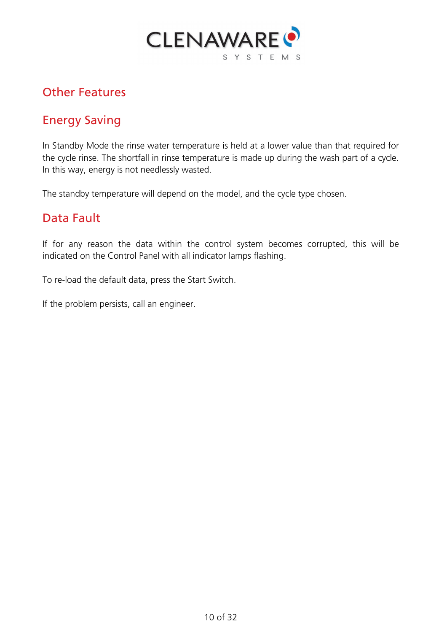

### <span id="page-9-0"></span>Other Features

# Energy Saving

In Standby Mode the rinse water temperature is held at a lower value than that required for the cycle rinse. The shortfall in rinse temperature is made up during the wash part of a cycle. In this way, energy is not needlessly wasted.

The standby temperature will depend on the model, and the cycle type chosen.

#### Data Fault

If for any reason the data within the control system becomes corrupted, this will be indicated on the Control Panel with all indicator lamps flashing.

To re-load the default data, press the Start Switch.

If the problem persists, call an engineer.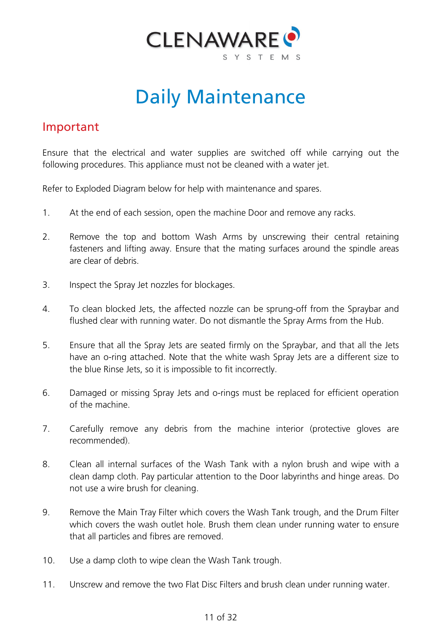

# Daily Maintenance

#### <span id="page-10-0"></span>Important

Ensure that the electrical and water supplies are switched off while carrying out the following procedures. This appliance must not be cleaned with a water jet.

Refer to Exploded Diagram below for help with maintenance and spares.

- 1. At the end of each session, open the machine Door and remove any racks.
- 2. Remove the top and bottom Wash Arms by unscrewing their central retaining fasteners and lifting away. Ensure that the mating surfaces around the spindle areas are clear of debris.
- 3. Inspect the Spray Jet nozzles for blockages.
- 4. To clean blocked Jets, the affected nozzle can be sprung-off from the Spraybar and flushed clear with running water. Do not dismantle the Spray Arms from the Hub.
- 5. Ensure that all the Spray Jets are seated firmly on the Spraybar, and that all the Jets have an o-ring attached. Note that the white wash Spray Jets are a different size to the blue Rinse Jets, so it is impossible to fit incorrectly.
- 6. Damaged or missing Spray Jets and o-rings must be replaced for efficient operation of the machine.
- 7. Carefully remove any debris from the machine interior (protective gloves are recommended).
- 8. Clean all internal surfaces of the Wash Tank with a nylon brush and wipe with a clean damp cloth. Pay particular attention to the Door labyrinths and hinge areas. Do not use a wire brush for cleaning.
- 9. Remove the Main Tray Filter which covers the Wash Tank trough, and the Drum Filter which covers the wash outlet hole. Brush them clean under running water to ensure that all particles and fibres are removed.
- 10. Use a damp cloth to wipe clean the Wash Tank trough.
- 11. Unscrew and remove the two Flat Disc Filters and brush clean under running water.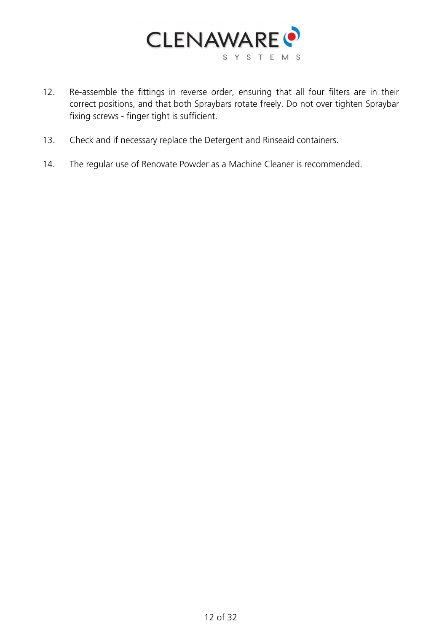

- 12. Re-assemble the fittings in reverse order, ensuring that all four filters are in their correct positions, and that both Spraybars rotate freely. Do not over tighten Spraybar fixing screws - finger tight is sufficient.
- 13. Check and if necessary replace the Detergent and Rinseaid containers.
- 14. The regular use of Renovate Powder as a Machine Cleaner is recommended.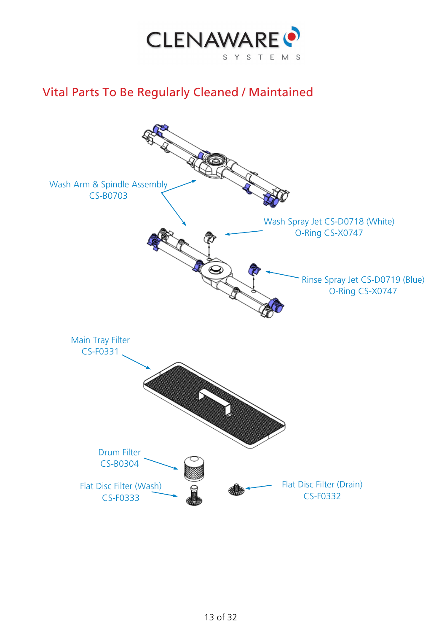

# <span id="page-12-0"></span>Vital Parts To Be Regularly Cleaned / Maintained

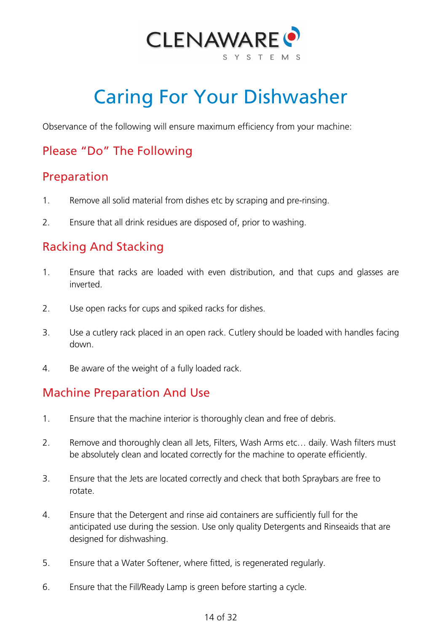

# Caring For Your Dishwasher

<span id="page-13-0"></span>Observance of the following will ensure maximum efficiency from your machine:

# Please "Do" The Following

#### Preparation

- 1. Remove all solid material from dishes etc by scraping and pre-rinsing.
- 2. Ensure that all drink residues are disposed of, prior to washing.

# Racking And Stacking

- 1. Ensure that racks are loaded with even distribution, and that cups and glasses are inverted.
- 2. Use open racks for cups and spiked racks for dishes.
- 3. Use a cutlery rack placed in an open rack. Cutlery should be loaded with handles facing down.
- 4. Be aware of the weight of a fully loaded rack.

# Machine Preparation And Use

- 1. Ensure that the machine interior is thoroughly clean and free of debris.
- 2. Remove and thoroughly clean all Jets, Filters, Wash Arms etc… daily. Wash filters must be absolutely clean and located correctly for the machine to operate efficiently.
- 3. Ensure that the Jets are located correctly and check that both Spraybars are free to rotate.
- 4. Ensure that the Detergent and rinse aid containers are sufficiently full for the anticipated use during the session. Use only quality Detergents and Rinseaids that are designed for dishwashing.
- 5. Ensure that a Water Softener, where fitted, is regenerated regularly.
- 6. Ensure that the Fill/Ready Lamp is green before starting a cycle.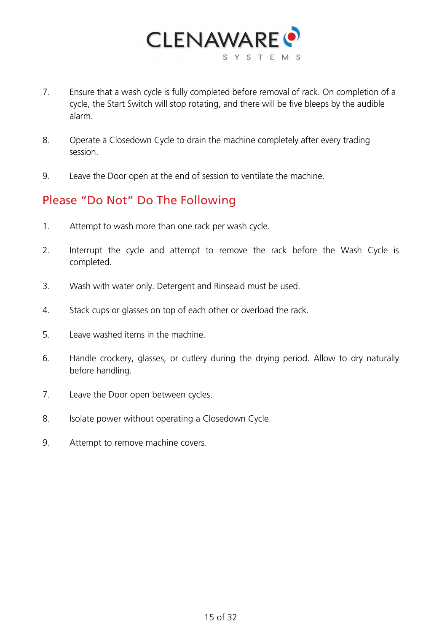

- 7. Ensure that a wash cycle is fully completed before removal of rack. On completion of a cycle, the Start Switch will stop rotating, and there will be five bleeps by the audible alarm.
- 8. Operate a Closedown Cycle to drain the machine completely after every trading session.
- 9. Leave the Door open at the end of session to ventilate the machine.

#### Please "Do Not" Do The Following

- 1. Attempt to wash more than one rack per wash cycle.
- 2. Interrupt the cycle and attempt to remove the rack before the Wash Cycle is completed.
- 3. Wash with water only. Detergent and Rinseaid must be used.
- 4. Stack cups or glasses on top of each other or overload the rack.
- 5. Leave washed items in the machine.
- 6. Handle crockery, glasses, or cutlery during the drying period. Allow to dry naturally before handling.
- 7. Leave the Door open between cycles.
- 8. Isolate power without operating a Closedown Cycle.
- 9. Attempt to remove machine covers.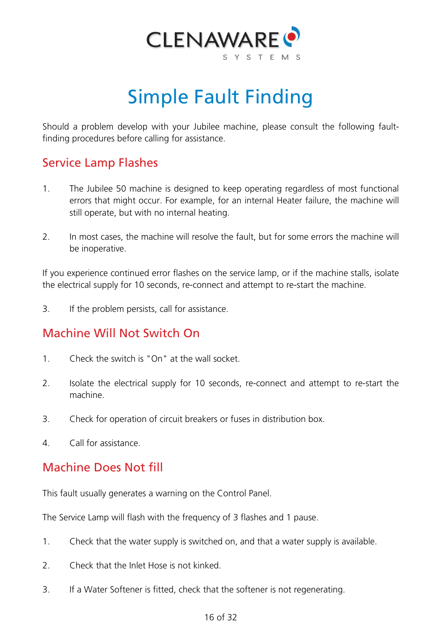

# Simple Fault Finding

<span id="page-15-0"></span>Should a problem develop with your Jubilee machine, please consult the following faultfinding procedures before calling for assistance.

### Service Lamp Flashes

- 1. The Jubilee 50 machine is designed to keep operating regardless of most functional errors that might occur. For example, for an internal Heater failure, the machine will still operate, but with no internal heating.
- 2. In most cases, the machine will resolve the fault, but for some errors the machine will be inoperative.

If you experience continued error flashes on the service lamp, or if the machine stalls, isolate the electrical supply for 10 seconds, re-connect and attempt to re-start the machine.

3. If the problem persists, call for assistance.

# Machine Will Not Switch On

- 1. Check the switch is "On" at the wall socket.
- 2. Isolate the electrical supply for 10 seconds, re-connect and attempt to re-start the machine.
- 3. Check for operation of circuit breakers or fuses in distribution box.
- 4. Call for assistance.

#### Machine Does Not fill

This fault usually generates a warning on the Control Panel.

The Service Lamp will flash with the frequency of 3 flashes and 1 pause.

- 1. Check that the water supply is switched on, and that a water supply is available.
- 2. Check that the Inlet Hose is not kinked.
- 3. If a Water Softener is fitted, check that the softener is not regenerating.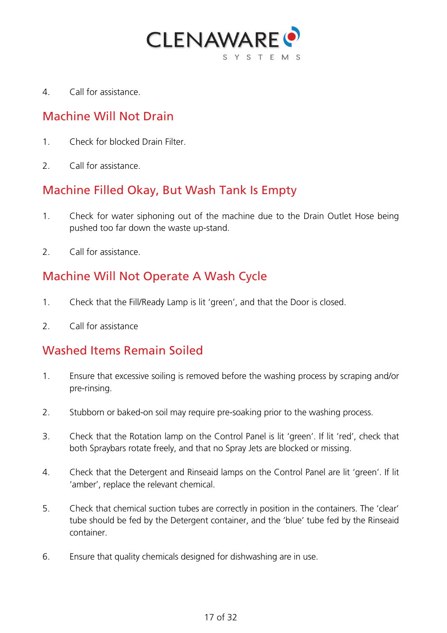

4. Call for assistance.

#### Machine Will Not Drain

- 1. Check for blocked Drain Filter.
- 2. Call for assistance.

#### Machine Filled Okay, But Wash Tank Is Empty

- 1. Check for water siphoning out of the machine due to the Drain Outlet Hose being pushed too far down the waste up-stand.
- 2 Call for assistance

# Machine Will Not Operate A Wash Cycle

- 1. Check that the Fill/Ready Lamp is lit 'green', and that the Door is closed.
- 2. Call for assistance

#### Washed Items Remain Soiled

- 1. Ensure that excessive soiling is removed before the washing process by scraping and/or pre-rinsing.
- 2. Stubborn or baked-on soil may require pre-soaking prior to the washing process.
- 3. Check that the Rotation lamp on the Control Panel is lit 'green'. If lit 'red', check that both Spraybars rotate freely, and that no Spray Jets are blocked or missing.
- 4. Check that the Detergent and Rinseaid lamps on the Control Panel are lit 'green'. If lit 'amber', replace the relevant chemical.
- 5. Check that chemical suction tubes are correctly in position in the containers. The 'clear' tube should be fed by the Detergent container, and the 'blue' tube fed by the Rinseaid container.
- 6. Ensure that quality chemicals designed for dishwashing are in use.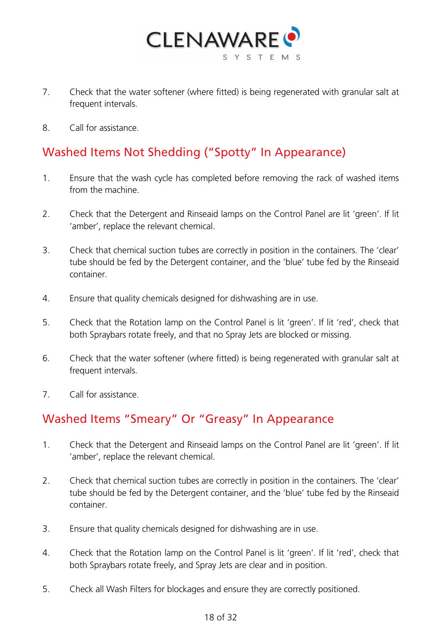

- 7. Check that the water softener (where fitted) is being regenerated with granular salt at frequent intervals.
- 8. Call for assistance.

# Washed Items Not Shedding ("Spotty" In Appearance)

- 1. Ensure that the wash cycle has completed before removing the rack of washed items from the machine.
- 2. Check that the Detergent and Rinseaid lamps on the Control Panel are lit 'green'. If lit 'amber', replace the relevant chemical.
- 3. Check that chemical suction tubes are correctly in position in the containers. The 'clear' tube should be fed by the Detergent container, and the 'blue' tube fed by the Rinseaid container.
- 4. Ensure that quality chemicals designed for dishwashing are in use.
- 5. Check that the Rotation lamp on the Control Panel is lit 'green'. If lit 'red', check that both Spraybars rotate freely, and that no Spray Jets are blocked or missing.
- 6. Check that the water softener (where fitted) is being regenerated with granular salt at frequent intervals.
- 7. Call for assistance.

#### Washed Items "Smeary" Or "Greasy" In Appearance

- 1. Check that the Detergent and Rinseaid lamps on the Control Panel are lit 'green'. If lit 'amber', replace the relevant chemical.
- 2. Check that chemical suction tubes are correctly in position in the containers. The 'clear' tube should be fed by the Detergent container, and the 'blue' tube fed by the Rinseaid container.
- 3. Ensure that quality chemicals designed for dishwashing are in use.
- 4. Check that the Rotation lamp on the Control Panel is lit 'green'. If lit 'red', check that both Spraybars rotate freely, and Spray Jets are clear and in position.
- 5. Check all Wash Filters for blockages and ensure they are correctly positioned.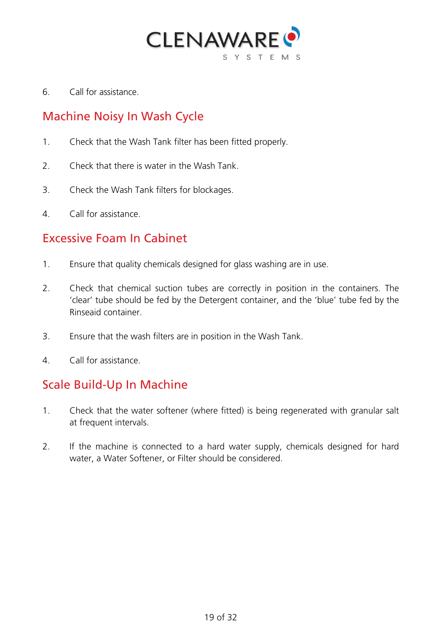

6. Call for assistance.

# Machine Noisy In Wash Cycle

- 1. Check that the Wash Tank filter has been fitted properly.
- 2. Check that there is water in the Wash Tank.
- 3. Check the Wash Tank filters for blockages.
- 4. Call for assistance.

#### Excessive Foam In Cabinet

- 1. Ensure that quality chemicals designed for glass washing are in use.
- 2. Check that chemical suction tubes are correctly in position in the containers. The 'clear' tube should be fed by the Detergent container, and the 'blue' tube fed by the Rinseaid container.
- 3. Ensure that the wash filters are in position in the Wash Tank.
- 4. Call for assistance.

#### Scale Build-Up In Machine

- 1. Check that the water softener (where fitted) is being regenerated with granular salt at frequent intervals.
- 2. If the machine is connected to a hard water supply, chemicals designed for hard water, a Water Softener, or Filter should be considered.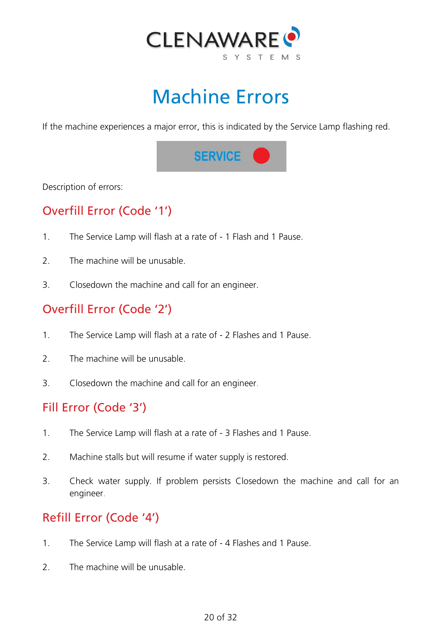

# Machine Errors

<span id="page-19-0"></span>If the machine experiences a major error, this is indicated by the Service Lamp flashing red.



Description of errors:

# Overfill Error (Code '1')

- 1. The Service Lamp will flash at a rate of 1 Flash and 1 Pause.
- 2 The machine will be unusable.
- 3. Closedown the machine and call for an engineer.

# Overfill Error (Code '2')

- 1. The Service Lamp will flash at a rate of 2 Flashes and 1 Pause.
- 2. The machine will be unusable.
- 3. Closedown the machine and call for an engineer.

#### Fill Error (Code '3')

- 1. The Service Lamp will flash at a rate of 3 Flashes and 1 Pause.
- 2. Machine stalls but will resume if water supply is restored.
- 3. Check water supply. If problem persists Closedown the machine and call for an engineer.

# Refill Error (Code '4')

- 1. The Service Lamp will flash at a rate of 4 Flashes and 1 Pause.
- 2. The machine will be unusable.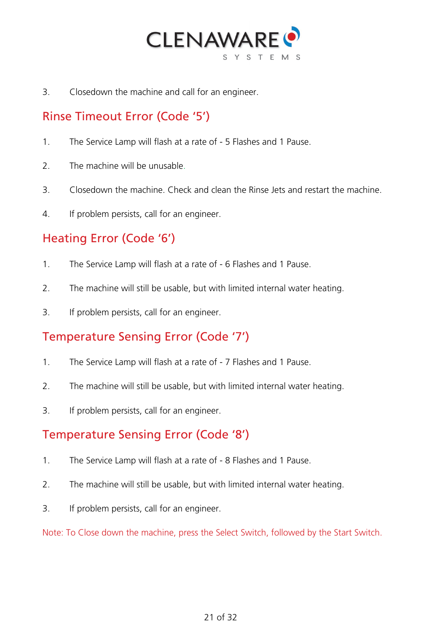

3. Closedown the machine and call for an engineer.

### Rinse Timeout Error (Code '5')

- 1. The Service Lamp will flash at a rate of 5 Flashes and 1 Pause.
- 2. The machine will be unusable.
- 3. Closedown the machine. Check and clean the Rinse Jets and restart the machine.
- 4. If problem persists, call for an engineer.

# Heating Error (Code '6')

- 1. The Service Lamp will flash at a rate of 6 Flashes and 1 Pause.
- 2. The machine will still be usable, but with limited internal water heating.
- 3. If problem persists, call for an engineer.

#### Temperature Sensing Error (Code '7')

- 1. The Service Lamp will flash at a rate of 7 Flashes and 1 Pause.
- 2. The machine will still be usable, but with limited internal water heating.
- 3. If problem persists, call for an engineer.

#### Temperature Sensing Error (Code '8')

- 1. The Service Lamp will flash at a rate of 8 Flashes and 1 Pause.
- 2. The machine will still be usable, but with limited internal water heating.
- 3. If problem persists, call for an engineer.

Note: To Close down the machine, press the Select Switch, followed by the Start Switch.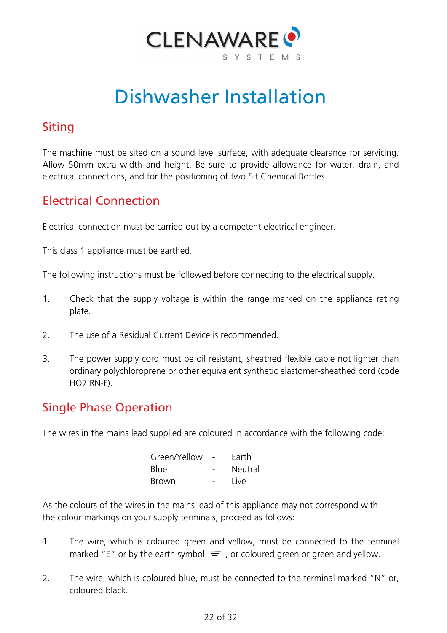

# Dishwasher Installation

# <span id="page-21-0"></span>Siting

The machine must be sited on a sound level surface, with adequate clearance for servicing. Allow 50mm extra width and height. Be sure to provide allowance for water, drain, and electrical connections, and for the positioning of two 5lt Chemical Bottles.

# Electrical Connection

Electrical connection must be carried out by a competent electrical engineer.

This class 1 appliance must be earthed.

The following instructions must be followed before connecting to the electrical supply.

- 1. Check that the supply voltage is within the range marked on the appliance rating plate.
- 2. The use of a Residual Current Device is recommended.
- 3. The power supply cord must be oil resistant, sheathed flexible cable not lighter than ordinary polychloroprene or other equivalent synthetic elastomer-sheathed cord (code HO7 RN-F).

# Single Phase Operation

The wires in the mains lead supplied are coloured in accordance with the following code:

| Green/Yellow | Earth   |
|--------------|---------|
| <b>Blue</b>  | Neutral |
| <b>Brown</b> | Live    |

As the colours of the wires in the mains lead of this appliance may not correspond with the colour markings on your supply terminals, proceed as follows:

- 1. The wire, which is coloured green and yellow, must be connected to the terminal marked "E" or by the earth symbol  $\frac{1}{\sqrt{2}}$ , or coloured green or green and yellow.
- 2. The wire, which is coloured blue, must be connected to the terminal marked "N" or, coloured black.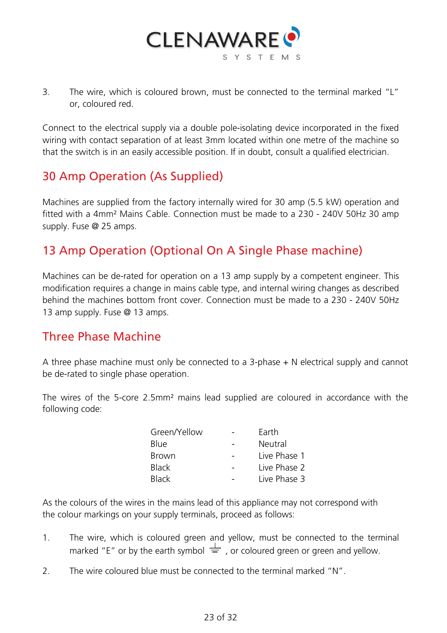

3. The wire, which is coloured brown, must be connected to the terminal marked "L" or, coloured red.

Connect to the electrical supply via a double pole-isolating device incorporated in the fixed wiring with contact separation of at least 3mm located within one metre of the machine so that the switch is in an easily accessible position. If in doubt, consult a qualified electrician.

### 30 Amp Operation (As Supplied)

Machines are supplied from the factory internally wired for 30 amp (5.5 kW) operation and fitted with a 4mm² Mains Cable. Connection must be made to a 230 - 240V 50Hz 30 amp supply. Fuse @ 25 amps.

# 13 Amp Operation (Optional On A Single Phase machine)

Machines can be de-rated for operation on a 13 amp supply by a competent engineer. This modification requires a change in mains cable type, and internal wiring changes as described behind the machines bottom front cover. Connection must be made to a 230 - 240V 50Hz 13 amp supply. Fuse @ 13 amps.

#### Three Phase Machine

A three phase machine must only be connected to a 3-phase + N electrical supply and cannot be de-rated to single phase operation.

The wires of the 5-core 2.5mm² mains lead supplied are coloured in accordance with the following code:

| Green/Yellow | Earth        |
|--------------|--------------|
| <b>Blue</b>  | Neutral      |
| <b>Brown</b> | Live Phase 1 |
| <b>Black</b> | Live Phase 2 |
| <b>Black</b> | Live Phase 3 |

As the colours of the wires in the mains lead of this appliance may not correspond with the colour markings on your supply terminals, proceed as follows:

- 1. The wire, which is coloured green and yellow, must be connected to the terminal marked "E" or by the earth symbol  $\frac{1}{\sqrt{2}}$ , or coloured green or green and yellow.
- 2. The wire coloured blue must be connected to the terminal marked "N".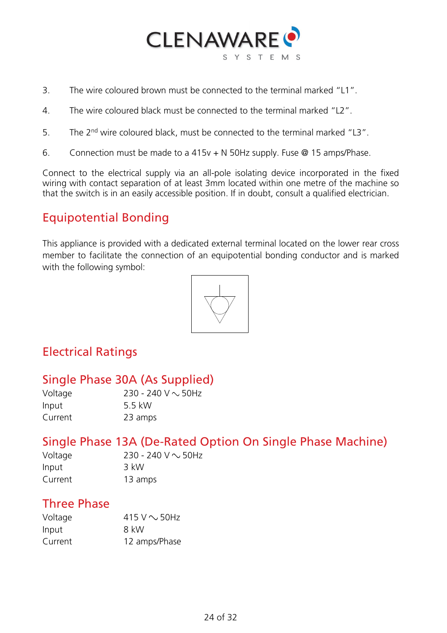

- 3. The wire coloured brown must be connected to the terminal marked "L1".
- 4. The wire coloured black must be connected to the terminal marked "L2".
- 5. The 2nd wire coloured black, must be connected to the terminal marked "L3".
- 6. Connection must be made to a 415v + N 50Hz supply. Fuse @ 15 amps/Phase.

Connect to the electrical supply via an all-pole isolating device incorporated in the fixed wiring with contact separation of at least 3mm located within one metre of the machine so that the switch is in an easily accessible position. If in doubt, consult a qualified electrician.

### Equipotential Bonding

This appliance is provided with a dedicated external terminal located on the lower rear cross member to facilitate the connection of an equipotential bonding conductor and is marked with the following symbol:



# Electrical Ratings

#### Single Phase 30A (As Supplied)

| Voltage | 230 - 240 V $\sim$ 50Hz |
|---------|-------------------------|
| Input   | 5.5 kW                  |
| Current | 23 amps                 |

#### Single Phase 13A (De-Rated Option On Single Phase Machine)

| Voltage | 230 - 240 V $\sim$ 50Hz |
|---------|-------------------------|
| Input   | 3 kW                    |
| Current | 13 amps                 |

#### Three Phase

| Voltage | 415 V $\sim$ 50Hz |
|---------|-------------------|
| Input   | 8 kW              |
| Current | 12 amps/Phase     |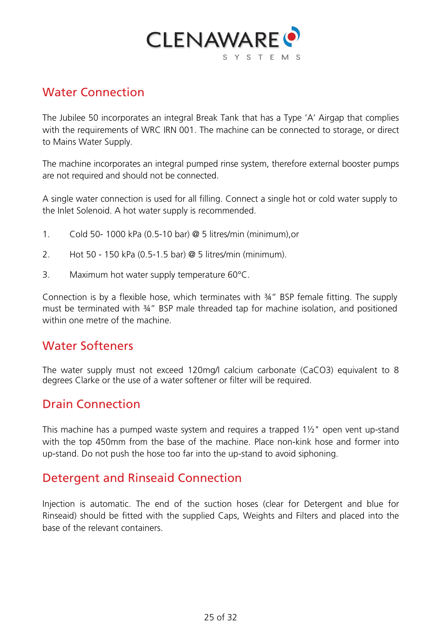

### Water Connection

The Jubilee 50 incorporates an integral Break Tank that has a Type 'A' Airgap that complies with the requirements of WRC IRN 001. The machine can be connected to storage, or direct to Mains Water Supply.

The machine incorporates an integral pumped rinse system, therefore external booster pumps are not required and should not be connected.

A single water connection is used for all filling. Connect a single hot or cold water supply to the Inlet Solenoid. A hot water supply is recommended.

- 1. Cold 50- 1000 kPa (0.5-10 bar) @ 5 litres/min (minimum),or
- 2. Hot 50 150 kPa (0.5-1.5 bar) @ 5 litres/min (minimum).
- 3. Maximum hot water supply temperature 60°C.

Connection is by a flexible hose, which terminates with ¾" BSP female fitting. The supply must be terminated with 34" BSP male threaded tap for machine isolation, and positioned within one metre of the machine.

#### Water Softeners

The water supply must not exceed 120mg/l calcium carbonate (CaCO3) equivalent to 8 degrees Clarke or the use of a water softener or filter will be required.

#### Drain Connection

This machine has a pumped waste system and requires a trapped 1½" open vent up-stand with the top 450mm from the base of the machine. Place non-kink hose and former into up-stand. Do not push the hose too far into the up-stand to avoid siphoning.

#### Detergent and Rinseaid Connection

Injection is automatic. The end of the suction hoses (clear for Detergent and blue for Rinseaid) should be fitted with the supplied Caps, Weights and Filters and placed into the base of the relevant containers.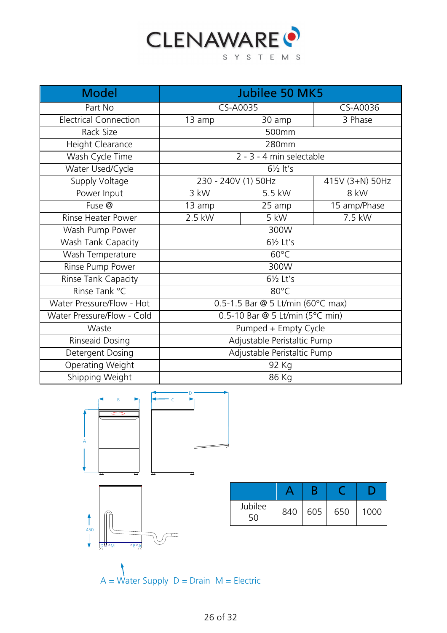

| <b>Model</b>                 | <b>Jubilee 50 MK5</b>                           |                     |                 |
|------------------------------|-------------------------------------------------|---------------------|-----------------|
| Part No                      | CS-A0035                                        |                     | CS-A0036        |
| <b>Electrical Connection</b> | 13 amp                                          | 30 amp              | 3 Phase         |
| Rack Size                    | 500mm                                           |                     |                 |
| Height Clearance             | 280mm                                           |                     |                 |
| Wash Cycle Time              | 2 - 3 - 4 min selectable                        |                     |                 |
| Water Used/Cycle             |                                                 | $6\frac{1}{2}$ lt's |                 |
| Supply Voltage               | 230 - 240V (1) 50Hz                             |                     | 415V (3+N) 50Hz |
| Power Input                  | 3 kW                                            | 5.5 kW              | 8 kW            |
| Fuse @                       | 13 amp                                          | 25 amp              | 15 amp/Phase    |
| Rinse Heater Power           | 2.5 kW                                          | 5 kW                | 7.5 kW          |
| Wash Pump Power              | 300W                                            |                     |                 |
| Wash Tank Capacity           | 61/2 Lt's                                       |                     |                 |
| Wash Temperature             | $60^{\circ}$ C                                  |                     |                 |
| Rinse Pump Power             | 300W                                            |                     |                 |
| Rinse Tank Capacity          | 61/2 Lt's                                       |                     |                 |
| Rinse Tank °C                | 80°C                                            |                     |                 |
| Water Pressure/Flow - Hot    | $\overline{0.5}$ -1.5 Bar @ 5 Lt/min (60°C max) |                     |                 |
| Water Pressure/Flow - Cold   | 0.5-10 Bar @ 5 Lt/min (5°C min)                 |                     |                 |
| Waste                        | Pumped + Empty Cycle                            |                     |                 |
| Rinseaid Dosing              | Adjustable Peristaltic Pump                     |                     |                 |
| Detergent Dosing             | Adjustable Peristaltic Pump                     |                     |                 |
| Operating Weight             | 92 Kg                                           |                     |                 |
| Shipping Weight              | 86 Kg                                           |                     |                 |



 $A = \overrightarrow{W}$ ater Supply  $D = \overrightarrow{D}$ rain  $M = \overrightarrow{E}$ lectric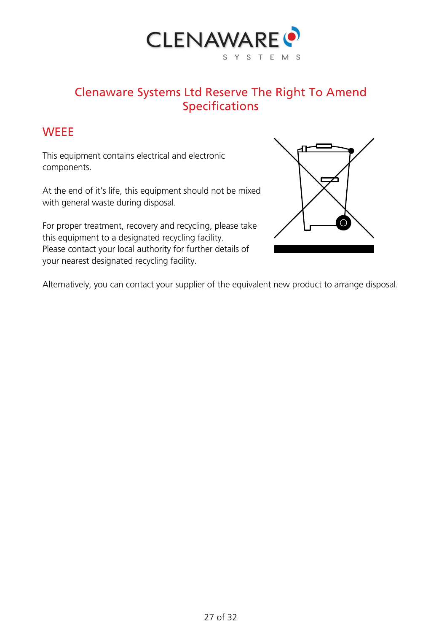

### Clenaware Systems Ltd Reserve The Right To Amend Specifications

#### <span id="page-26-0"></span>**WEEE**

This equipment contains electrical and electronic components.

At the end of it's life, this equipment should not be mixed with general waste during disposal.

For proper treatment, recovery and recycling, please take this equipment to a designated recycling facility. Please contact your local authority for further details of your nearest designated recycling facility.



Alternatively, you can contact your supplier of the equivalent new product to arrange disposal.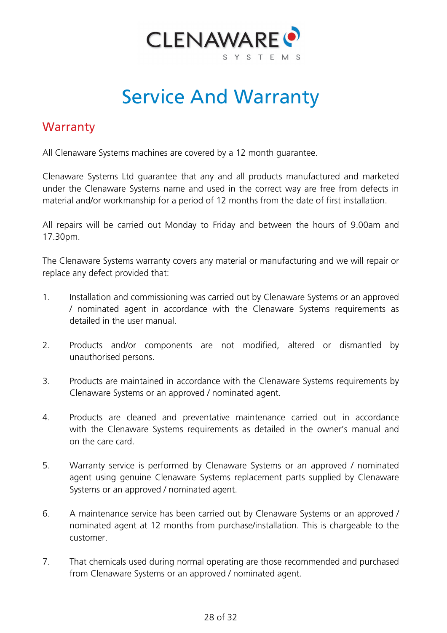

# Service And Warranty

#### <span id="page-27-1"></span><span id="page-27-0"></span>**Warranty**

All Clenaware Systems machines are covered by a 12 month guarantee.

Clenaware Systems Ltd guarantee that any and all products manufactured and marketed under the Clenaware Systems name and used in the correct way are free from defects in material and/or workmanship for a period of 12 months from the date of first installation.

All repairs will be carried out Monday to Friday and between the hours of 9.00am and 17.30pm.

The Clenaware Systems warranty covers any material or manufacturing and we will repair or replace any defect provided that:

- 1. Installation and commissioning was carried out by Clenaware Systems or an approved / nominated agent in accordance with the Clenaware Systems requirements as detailed in the user manual.
- 2. Products and/or components are not modified, altered or dismantled by unauthorised persons.
- 3. Products are maintained in accordance with the Clenaware Systems requirements by Clenaware Systems or an approved / nominated agent.
- 4. Products are cleaned and preventative maintenance carried out in accordance with the Clenaware Systems requirements as detailed in the owner's manual and on the care card.
- 5. Warranty service is performed by Clenaware Systems or an approved / nominated agent using genuine Clenaware Systems replacement parts supplied by Clenaware Systems or an approved / nominated agent.
- 6. A maintenance service has been carried out by Clenaware Systems or an approved / nominated agent at 12 months from purchase/installation. This is chargeable to the customer.
- 7. That chemicals used during normal operating are those recommended and purchased from Clenaware Systems or an approved / nominated agent.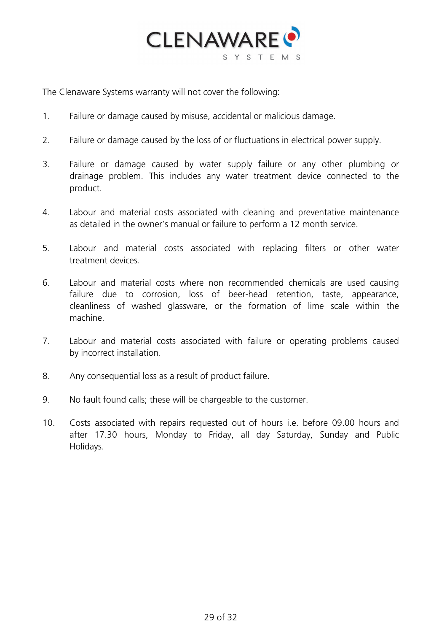

The Clenaware Systems warranty will not cover the following:

- 1. Failure or damage caused by misuse, accidental or malicious damage.
- 2. Failure or damage caused by the loss of or fluctuations in electrical power supply.
- 3. Failure or damage caused by water supply failure or any other plumbing or drainage problem. This includes any water treatment device connected to the product.
- 4. Labour and material costs associated with cleaning and preventative maintenance as detailed in the owner's manual or failure to perform a 12 month service.
- 5. Labour and material costs associated with replacing filters or other water treatment devices.
- 6. Labour and material costs where non recommended chemicals are used causing failure due to corrosion, loss of beer-head retention, taste, appearance, cleanliness of washed glassware, or the formation of lime scale within the machine.
- 7. Labour and material costs associated with failure or operating problems caused by incorrect installation.
- 8. Any consequential loss as a result of product failure.
- 9. No fault found calls; these will be chargeable to the customer.
- <span id="page-28-0"></span>10. Costs associated with repairs requested out of hours i.e. before 09.00 hours and after 17.30 hours, Monday to Friday, all day Saturday, Sunday and Public Holidays.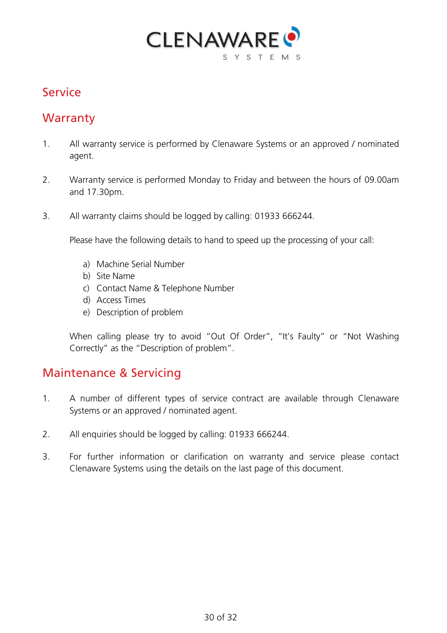

### Service

#### **Warranty**

- 1. All warranty service is performed by Clenaware Systems or an approved / nominated agent.
- 2. Warranty service is performed Monday to Friday and between the hours of 09.00am and 17.30pm.
- 3. All warranty claims should be logged by calling: 01933 666244.

Please have the following details to hand to speed up the processing of your call:

- a) Machine Serial Number
- b) Site Name
- c) Contact Name & Telephone Number
- d) Access Times
- e) Description of problem

When calling please try to avoid "Out Of Order", "It's Faulty" or "Not Washing Correctly" as the "Description of problem".

#### Maintenance & Servicing

- 1. A number of different types of service contract are available through Clenaware Systems or an approved / nominated agent.
- 2. All enquiries should be logged by calling: 01933 666244.
- 3. For further information or clarification on warranty and service please contact Clenaware Systems using the details on the last page of this document.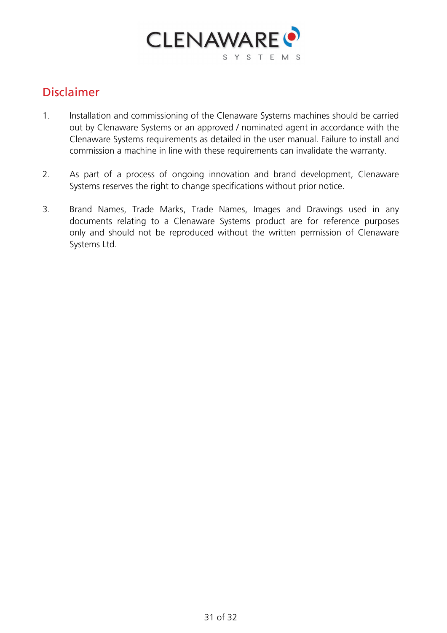

### <span id="page-30-0"></span>Disclaimer

- 1. Installation and commissioning of the Clenaware Systems machines should be carried out by Clenaware Systems or an approved / nominated agent in accordance with the Clenaware Systems requirements as detailed in the user manual. Failure to install and commission a machine in line with these requirements can invalidate the warranty.
- 2. As part of a process of ongoing innovation and brand development, Clenaware Systems reserves the right to change specifications without prior notice.
- 3. Brand Names, Trade Marks, Trade Names, Images and Drawings used in any documents relating to a Clenaware Systems product are for reference purposes only and should not be reproduced without the written permission of Clenaware Systems Ltd.